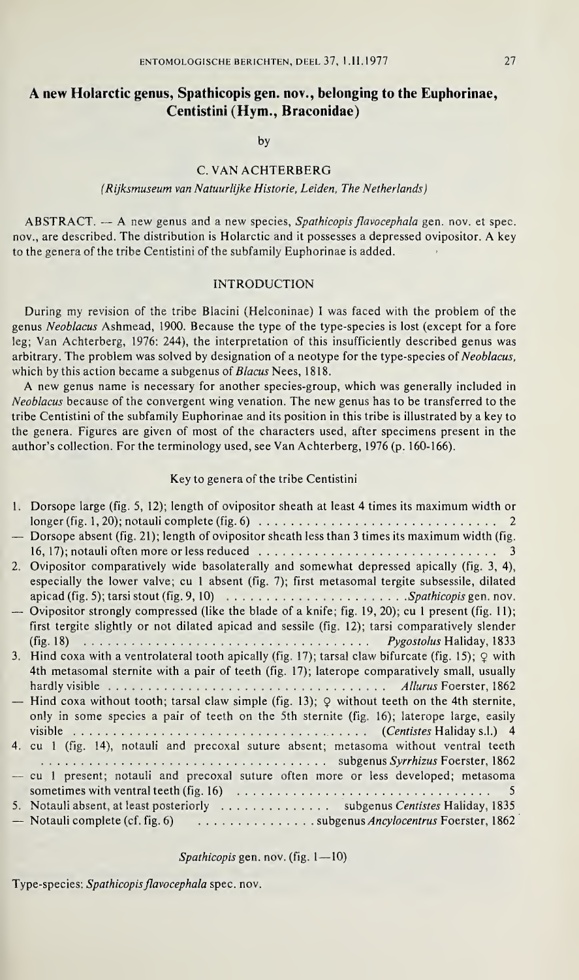# A new Holarctic genus, Spathicopis gen. nov., belonging to the Euphorinae, Centistini (Hym., Braconidae)

by

## C. VAN ACHTERBERG

### (Rijksmuseum van Natuurlijke Historie, Leiden, The Netherlands)

 $ABSTRACT. - A$  new genus and a new species, Spathicopis flavocephala gen. nov. et spec. nov., are described. The distribution is Holarctic and it possesses a depressed ovipositor. A key to the genera of the tribe Centistini of the subfamily Euphorinae is added.

## INTRODUCTION

During my revision of the tribe Blacini (Helconinae) I was faced with the problem of the genus Neoblacus Ashmead, 1900. Because the type of the type-species is lost (except for a fore leg; Van Achterberg, 1976: 244), the interpretation of this insufficiently described genus was arbitrary. The problem was solved by designation of a neotype for the type-species of Neoblacus, which by this action became a subgenus of *Blacus* Nees, 1818.

A new genus name is necessary for another species-group, which was generally included in Neoblacus because of the convergent wing venation. The new genus has to be transferred to the tribe Centistini of the subfamily Euphorinae and its position in this tribe is illustrated by a key to the genera. Figures are given of most of the characters used, after specimens present in the author's collection. For the terminology used, see Van Achterberg, 1976 (p. 160-166).

## Key to genera of the tribe Centistini

|                                | rebolicas oceause of the convergent wing venation. The new genus has to be transferred to the<br>tribe Centistini of the subfamily Euphorinae and its position in this tribe is illustrated by a key to<br>the genera. Figures are given of most of the characters used, after specimens present in the<br>author's collection. For the terminology used, see Van Achterberg, 1976 (p. 160-166).                                                                                                                                                                                                                                                 |
|--------------------------------|--------------------------------------------------------------------------------------------------------------------------------------------------------------------------------------------------------------------------------------------------------------------------------------------------------------------------------------------------------------------------------------------------------------------------------------------------------------------------------------------------------------------------------------------------------------------------------------------------------------------------------------------------|
|                                | Key to genera of the tribe Centistini                                                                                                                                                                                                                                                                                                                                                                                                                                                                                                                                                                                                            |
| $\overline{\phantom{0}}$<br>2. | 1. Dorsope large (fig. 5, 12); length of ovipositor sheath at least 4 times its maximum width or<br>Dorsope absent (fig. 21); length of ovipositor sheath less than 3 times its maximum width (fig.<br>Ovipositor comparatively wide basolaterally and somewhat depressed apically (fig. 3, 4),<br>especially the lower valve; cu 1 absent (fig. 7); first metasomal tergite subsessile, dilated<br>apicad (fig. 5); tarsi stout (fig. 9, 10) $\ldots \ldots \ldots \ldots \ldots \ldots \ldots$ . Spathicopis gen. nov.<br>- Ovipositor strongly compressed (like the blade of a knife; fig. 19, 20); cu 1 present (fig. 11);                   |
|                                | first tergite slightly or not dilated apicad and sessile (fig. 12); tarsi comparatively slender<br>(fig. 18) $\ldots$ $\ldots$ $\ldots$ $\ldots$ $\ldots$ $\ldots$ $\ldots$ $\ldots$ $\ldots$ $\ldots$ $\ldots$ $\ldots$ $\ldots$ $\ldots$ $\ldots$ $\ldots$ $\ldots$ $\ldots$ $\ldots$ $\ldots$ $\ldots$ $\ldots$ $\ldots$ $\ldots$ $\ldots$ $\ldots$ $\ldots$ $\ldots$ $\ldots$ $\ldots$ $\ldots$ $\ldots$ $\ldots$ $\ldots$ $\ldots$<br>3. Hind coxa with a ventrolateral tooth apically (fig. 17); tarsal claw bifurcate (fig. 15); $Q$ with<br>4th metasomal sternite with a pair of teeth (fig. 17); laterope comparatively small, usually |
|                                | - Hind coxa without tooth; tarsal claw simple (fig. 13); $Q$ without teeth on the 4th sternite,<br>only in some species a pair of teeth on the 5th sternite (fig. 16); laterope large, easily<br>4. cu 1 (fig. 14), notauli and precoxal suture absent; metasoma without ventral teeth                                                                                                                                                                                                                                                                                                                                                           |
|                                | - cu 1 present; notauli and precoxal suture often more or less developed; metasoma<br>sometimes with ventral teeth (fig. 16) $\ldots \ldots \ldots \ldots \ldots \ldots \ldots \ldots \ldots \ldots$<br>$\sim$ 5<br>5. Notauli absent, at least posteriorly  subgenus Centistes Haliday, 1835<br>- Notauli complete (cf. fig. 6) subgenus Ancylocentrus Foerster, 1862                                                                                                                                                                                                                                                                           |
|                                | Spathicopis gen. nov. (fig. $1 - 10$ )                                                                                                                                                                                                                                                                                                                                                                                                                                                                                                                                                                                                           |
|                                | Type-species: Spathicopis flavocephala spec. nov.                                                                                                                                                                                                                                                                                                                                                                                                                                                                                                                                                                                                |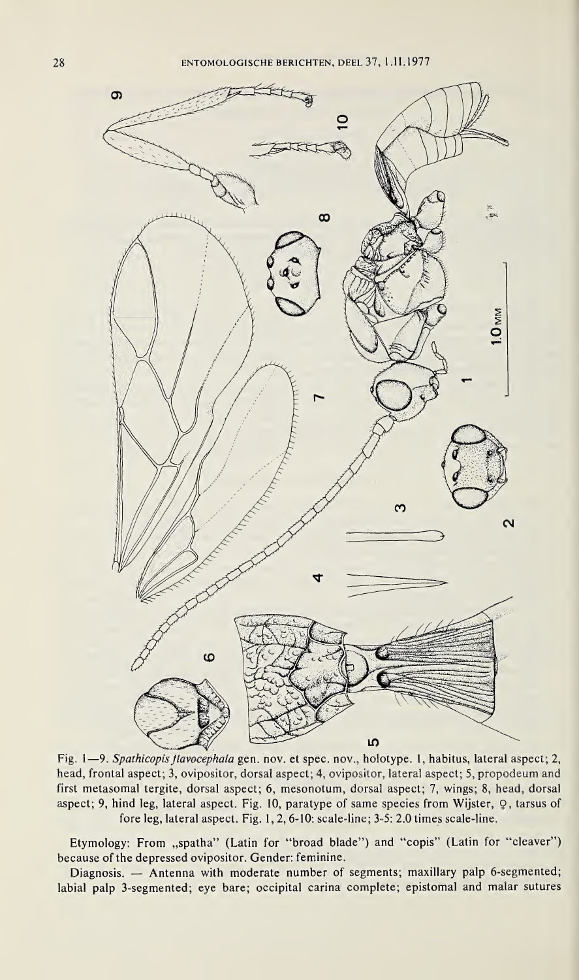

Fig. 1-9. Spathicopis flavocephala gen. nov. et spec. nov., holotype. 1, habitus, lateral aspect; 2, head, frontal aspect; 3, ovipositor, dorsal aspect; 4, ovipositor, lateral aspect; 5, propodeum and first metasomal tergite, dorsal aspect; 6, mesonotum, dorsal aspect; 7, wings; 8, head, dorsal aspect; 9, hind leg, lateral aspect. Fig. 10, paratype of same species from Wijster, Q, tarsus of fore leg, lateral aspect. Fig. 1, 2, 6-10: scale-line; 3-5: 2.0 times scale-line.

Etymology: From "spatha" (Latin for "broad blade") and "copis" (Latin for "cleaver") because of the depressed ovipositor. Gender: feminine.

Diagnosis. — Antenna with moderate number of segments; maxillary palp 6-segmented; labial palp 3-segmented; eye bare; occipital carina complete; epistomal and malar sutures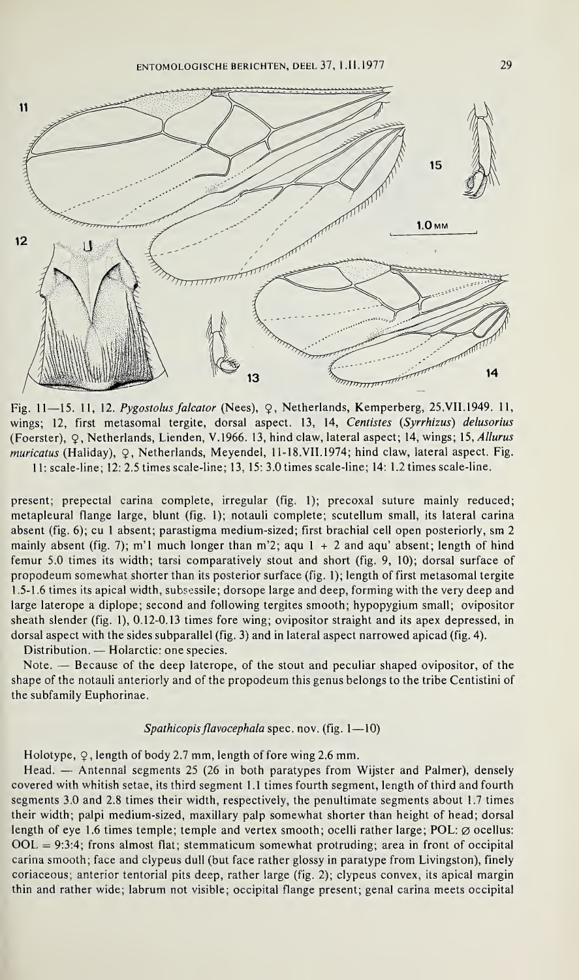ENTOMOLOGISCHE BERICHTEN, DEEL 37, 1.11.1977 29



Fig. 11—15. 11, 12. Pygostolus falcator (Nees), <sup>9</sup>, Netherlands, Kemperberg, 25.VII.1949. 11, wings; 12, first metasomal tergite, dorsal aspect. 13, 14, Centistes (Syrrhizus) delusorius (Foerster), Q, Netherlands, Lienden, V.1966. 13, hind claw, lateral aspect; 14, wings; 15, Allurus muricatus (Haliday), Q, Netherlands, Meyendel, 11-18.VII.1974; hind claw, lateral aspect. Fig. 11: scale-line; 12: 2.5 times scale-line; 13, 15: 3.0 times scale-line; 14: 1.2 times scale-line.

present; prepectal carina complete, irregular (fig. <sup>1</sup>); precoxal suture mainly reduced; metapleural flange large, blunt (fig. <sup>1</sup>); notauli complete; scutellum small, its lateral carina absent (fig. 6); cu <sup>1</sup> absent; parastigma medium-sized; first brachial cell open posteriorly, sm 2 mainly absent (fig. 7); m'l much longer than m'2; aqu  $1 + 2$  and aqu' absent; length of hind femur 5.0 times its width; tarsi comparatively stout and short (fig. 9, 10); dorsal surface of propodeum somewhat shorter than its posterior surface (fig. <sup>1</sup>); length of first metasomal tergite 1.5-1.6 times its apical width, subsessile; dorsope large and deep, forming with the very deep and large laterope a diplope; second and following tergites smooth; hypopygium small; ovipositor sheath slender (fig. 1), 0.12-0.13 times fore wing; ovipositor straight and its apex depressed, in dorsal aspect with the sides subparallel (fig. 3) and in lateral aspect narrowed apicad (fig. 4).

Distribution. — Holarctic: one species.

Note. — Because of the deep laterope, of the stout and peculiar shaped ovipositor, of the shape of the notauli anteriorly and of the propodeum this genus belongs to the tribe Centistini of the subfamily Euphorinae.

#### Spathicopis flavocephala spec. nov. (fig.  $1-10$ )

### Holotype,  $\varphi$ , length of body 2.7 mm, length of fore wing 2.6 mm.

Head. — Antennal segments 25 (26 in both paratypes from Wijster and Palmer), densely covered with whitish setae, its third segment 1.1 times fourth segment, length of third and fourth segments 3.0 and 2.8 times their width, respectively, the penultimate segments about 1.7 times their width; palpi medium-sized, maxillary palp somewhat shorter than height of head; dorsal length of eye 1.6 times temple; temple and vertex smooth; ocelli rather large; POL:  $\varnothing$  ocellus:  $OOL = 9:3:4$ ; frons almost flat; stemmaticum somewhat protruding; area in front of occipital carina smooth; face and clypeus dull (but face rather glossy in paratype from Livingston), finely coriaceous; anterior tentorial pits deep, rather large (fig. 2); clypeus convex, its apical margin thin and rather wide; labrum not visible; occipital flange present; genal carina meets occipital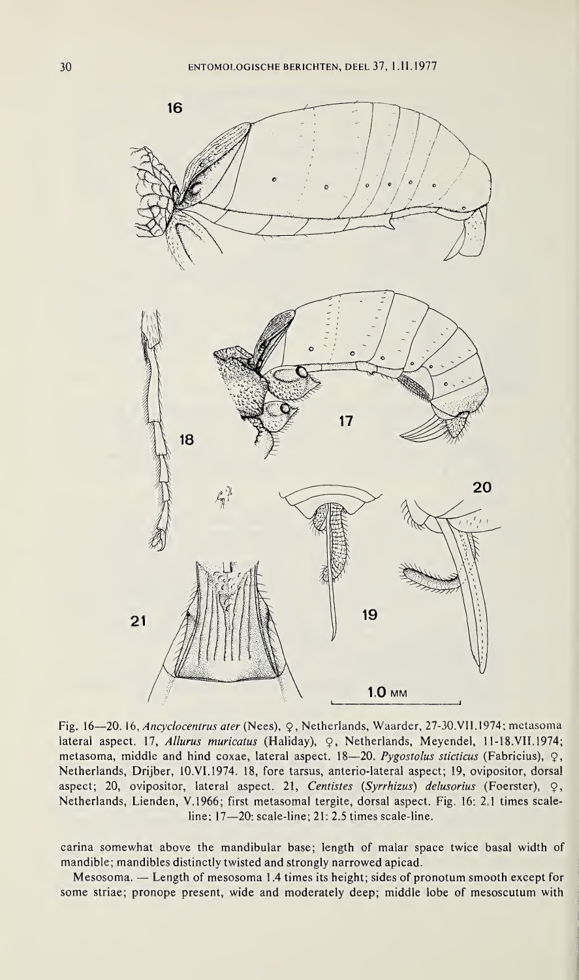

Fig. 16—20. 16, Ancyclocentrus ater (Nees), Ç, Netherlands, Waarder, 27-30.VII. 1974; metasoma lateral aspect. 17, Allurus muricatus (Haliday), Q, Netherlands, Meyendel, 11-18.VII.1974; metasoma, middle and hind coxae, lateral aspect. 18-20. Pygostolus sticticus (Fabricius),  $\varphi$ , Netherlands, Drijber, 10.VI. 1974. 18, fore tarsus, anterio-lateral aspect; 19, ovipositor, dorsal aspect; 20, ovipositor, lateral aspect. 21, Centistes (Syrrhizus) delusorius (Foerster),  $\varphi$ , Netherlands, Lienden, V.1966; first metasomal tergite, dorsal aspect. Fig. 16: 2.1 times scaleline; 17—20; scale-line; 21; 2.5 times scale-line.

carina somewhat above the mandibular base; length of malar space twice basal width of mandible; mandibles distinctly twisted and strongly narrowed apicad.

Mesosoma. — Length of mesosoma 1.4 times its height; sides of pronotum smooth except for some striae; pronope present, wide and moderately deep; middle lobe of mesoscutum with